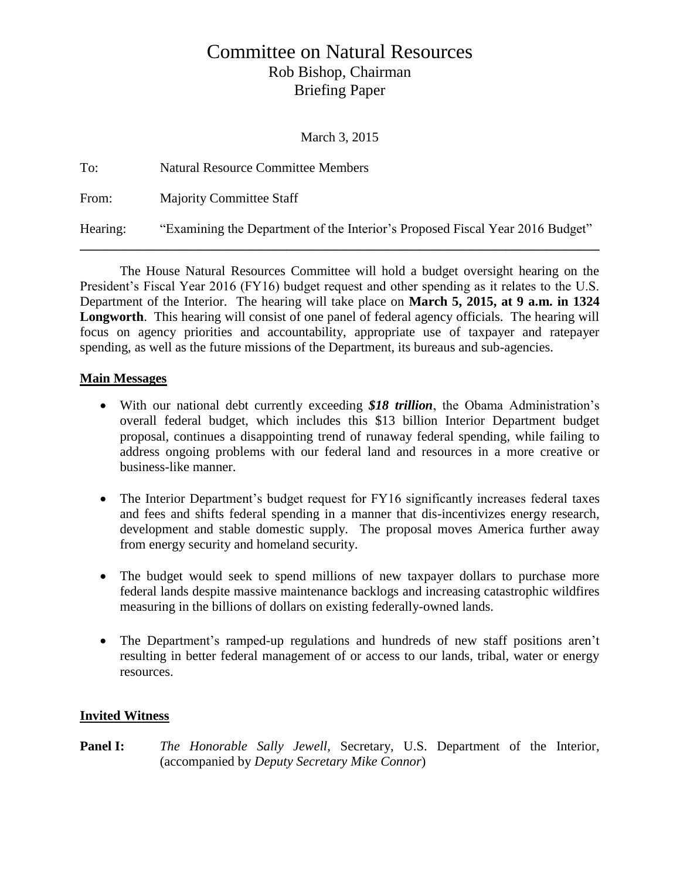# Committee on Natural Resources Rob Bishop, Chairman Briefing Paper

March 3, 2015

| To:      | <b>Natural Resource Committee Members</b>                                     |
|----------|-------------------------------------------------------------------------------|
| From:    | <b>Majority Committee Staff</b>                                               |
| Hearing: | "Examining the Department of the Interior's Proposed Fiscal Year 2016 Budget" |

The House Natural Resources Committee will hold a budget oversight hearing on the President's Fiscal Year 2016 (FY16) budget request and other spending as it relates to the U.S. Department of the Interior. The hearing will take place on **March 5, 2015, at 9 a.m. in 1324**  Longworth. This hearing will consist of one panel of federal agency officials. The hearing will focus on agency priorities and accountability, appropriate use of taxpayer and ratepayer spending, as well as the future missions of the Department, its bureaus and sub-agencies.

## **Main Messages**

- With our national debt currently exceeding *\$18 trillion*, the Obama Administration's overall federal budget, which includes this \$13 billion Interior Department budget proposal, continues a disappointing trend of runaway federal spending, while failing to address ongoing problems with our federal land and resources in a more creative or business-like manner.
- The Interior Department's budget request for FY16 significantly increases federal taxes and fees and shifts federal spending in a manner that dis-incentivizes energy research, development and stable domestic supply. The proposal moves America further away from energy security and homeland security.
- The budget would seek to spend millions of new taxpayer dollars to purchase more federal lands despite massive maintenance backlogs and increasing catastrophic wildfires measuring in the billions of dollars on existing federally-owned lands.
- The Department's ramped-up regulations and hundreds of new staff positions aren't resulting in better federal management of or access to our lands, tribal, water or energy resources.

# **Invited Witness**

**Panel I:** *The Honorable Sally Jewell,* Secretary, U.S. Department of the Interior, (accompanied by *Deputy Secretary Mike Connor*)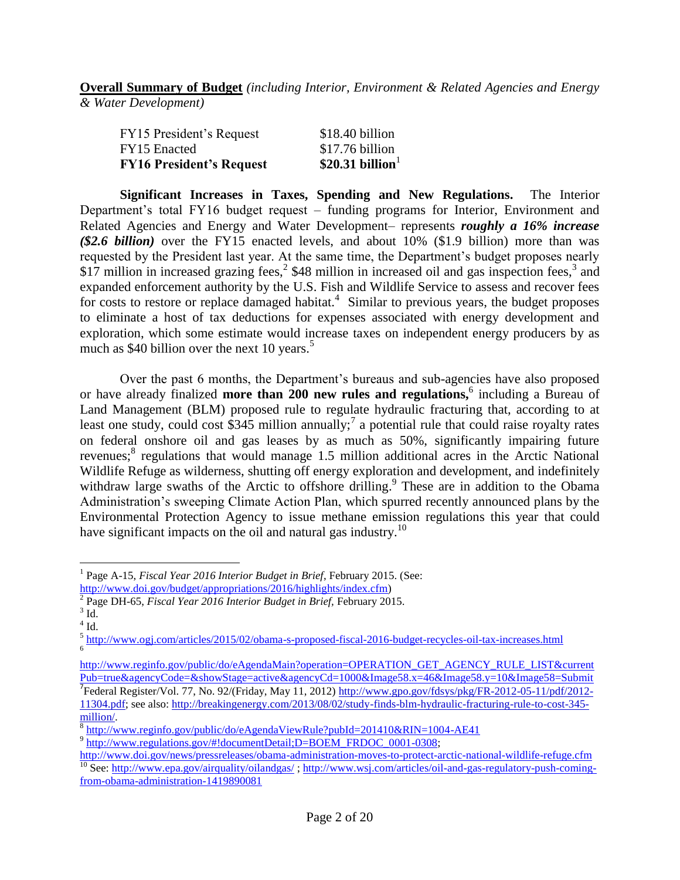**Overall Summary of Budget** *(including Interior, Environment & Related Agencies and Energy & Water Development)*

| <b>FY16 President's Request</b> | \$20.31 billion $1$ |
|---------------------------------|---------------------|
| FY15 Enacted                    | \$17.76 billion     |
| FY15 President's Request        | \$18.40 billion     |

**Significant Increases in Taxes, Spending and New Regulations.** The Interior Department's total FY16 budget request – funding programs for Interior, Environment and Related Agencies and Energy and Water Development– represents *roughly a 16% increase (\$2.6 billion)* over the FY15 enacted levels, and about 10% (\$1.9 billion) more than was requested by the President last year. At the same time, the Department's budget proposes nearly \$17 million in increased grazing fees,<sup>2</sup> \$48 million in increased oil and gas inspection fees,<sup>3</sup> and expanded enforcement authority by the U.S. Fish and Wildlife Service to assess and recover fees for costs to restore or replace damaged habitat. $4$  Similar to previous years, the budget proposes to eliminate a host of tax deductions for expenses associated with energy development and exploration, which some estimate would increase taxes on independent energy producers by as much as \$40 billion over the next 10 years.<sup>5</sup>

Over the past 6 months, the Department's bureaus and sub-agencies have also proposed or have already finalized **more than 200 new rules and regulations,**<sup>6</sup> including a Bureau of Land Management (BLM) proposed rule to regulate hydraulic fracturing that, according to at least one study, could cost \$345 million annually;<sup>7</sup> a potential rule that could raise royalty rates on federal onshore oil and gas leases by as much as 50%, significantly impairing future revenues;<sup>8</sup> regulations that would manage 1.5 million additional acres in the Arctic National Wildlife Refuge as wilderness, shutting off energy exploration and development, and indefinitely withdraw large swaths of the Arctic to offshore drilling.<sup>9</sup> These are in addition to the Obama Administration's sweeping Climate Action Plan, which spurred recently announced plans by the Environmental Protection Agency to issue methane emission regulations this year that could have significant impacts on the oil and natural gas industry.<sup>10</sup>

 $\overline{a}$ <sup>1</sup> Page A-15, *Fiscal Year 2016 Interior Budget in Brief*, February 2015. (See:

[http://www.doi.gov/budget/appropriations/2016/highlights/index.cfm\)](http://www.doi.gov/budget/appropriations/2016/highlights/index.cfm)

<sup>&</sup>lt;sup>2</sup> Page DH-65, *Fiscal Year 2016 Interior Budget in Brief*, February 2015.

 $3$  Id.

 $4$  Id.

<sup>&</sup>lt;sup>5</sup> <http://www.ogj.com/articles/2015/02/obama-s-proposed-fiscal-2016-budget-recycles-oil-tax-increases.html> 6

[http://www.reginfo.gov/public/do/eAgendaMain?operation=OPERATION\\_GET\\_AGENCY\\_RULE\\_LIST&current](http://www.reginfo.gov/public/do/eAgendaMain?operation=OPERATION_GET_AGENCY_RULE_LIST¤tPub=true&agencyCode=&showStage=active&agencyCd=1000&Image58.x=46&Image58.y=10&Image58=Submit) [Pub=true&agencyCode=&showStage=active&agencyCd=1000&Image58.x=46&Image58.y=10&Image58=Submit](http://www.reginfo.gov/public/do/eAgendaMain?operation=OPERATION_GET_AGENCY_RULE_LIST¤tPub=true&agencyCode=&showStage=active&agencyCd=1000&Image58.x=46&Image58.y=10&Image58=Submit) <sup>7</sup> Federal Register/Vol. 77, No. 92/(Friday, May 11, 2012) [http://www.gpo.gov/fdsys/pkg/FR-2012-05-11/pdf/2012-](http://www.gpo.gov/fdsys/pkg/FR-2012-05-11/pdf/2012-11304.pdf) [11304.pdf;](http://www.gpo.gov/fdsys/pkg/FR-2012-05-11/pdf/2012-11304.pdf) see also: [http://breakingenergy.com/2013/08/02/study-finds-blm-hydraulic-fracturing-rule-to-cost-345](http://breakingenergy.com/2013/08/02/study-finds-blm-hydraulic-fracturing-rule-to-cost-345-million/) [million/.](http://breakingenergy.com/2013/08/02/study-finds-blm-hydraulic-fracturing-rule-to-cost-345-million/)

<sup>&</sup>lt;sup>8</sup> <http://www.reginfo.gov/public/do/eAgendaViewRule?pubId=201410&RIN=1004-AE41>

<sup>&</sup>lt;sup>9</sup> [http://www.regulations.gov/#!documentDetail;D=BOEM\\_FRDOC\\_0001-0308;](http://www.regulations.gov/#!documentDetail;D=BOEM_FRDOC_0001-0308)

<http://www.doi.gov/news/pressreleases/obama-administration-moves-to-protect-arctic-national-wildlife-refuge.cfm> <sup>10</sup> See[: http://www.epa.gov/airquality/oilandgas/](http://www.epa.gov/airquality/oilandgas/); [http://www.wsj.com/articles/oil-and-gas-regulatory-push-coming](http://www.wsj.com/articles/oil-and-gas-regulatory-push-coming-from-obama-administration-1419890081)[from-obama-administration-1419890081](http://www.wsj.com/articles/oil-and-gas-regulatory-push-coming-from-obama-administration-1419890081)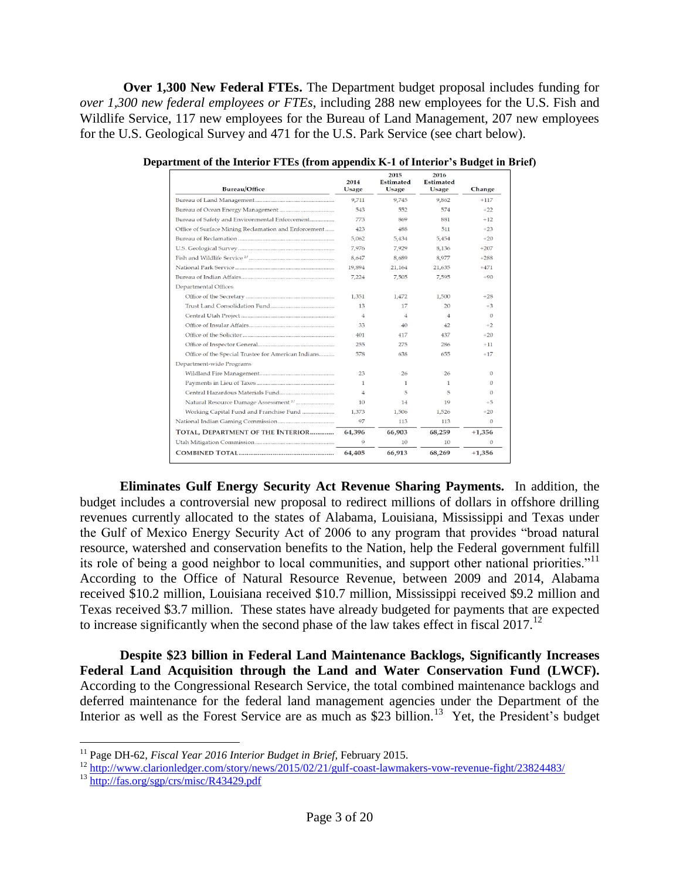**Over 1,300 New Federal FTEs.** The Department budget proposal includes funding for *over 1,300 new federal employees or FTEs*, including 288 new employees for the U.S. Fish and Wildlife Service, 117 new employees for the Bureau of Land Management, 207 new employees for the U.S. Geological Survey and 471 for the U.S. Park Service (see chart below).

| Bureau/Office                                        | 2014<br>Usage  | 2015<br><b>Estimated</b><br><b>Usage</b> | 2016<br><b>Estimated</b><br>Usage | Change         |
|------------------------------------------------------|----------------|------------------------------------------|-----------------------------------|----------------|
|                                                      | 9,711          | 9.745                                    | 9.862                             | $+117$         |
|                                                      | 543            | 552                                      | 574                               | $+22$          |
| Bureau of Safety and Environmental Enforcement       | 773            | 869                                      | 881                               | $+12$          |
| Office of Surface Mining Reclamation and Enforcement | 423            | 488                                      | 511                               | $+23$          |
|                                                      | 5.062          | 5.434                                    | 5.454                             | $+20$          |
|                                                      | 7,976          | 7,929                                    | 8,136                             | $+207$         |
|                                                      | 8.647          | 8,689                                    | 8,977                             | $+288$         |
|                                                      | 19,894         | 21,164                                   | 21,635                            | $+471$         |
|                                                      | 7.224          | 7.505                                    | 7.595                             | $+90$          |
| <b>Departmental Offices</b>                          |                |                                          |                                   |                |
|                                                      | 1,351          | 1,472                                    | 1,500                             | $+28$          |
| Trust Land Consolidation Fund                        | 13             | 17                                       | 20                                | $+3$           |
|                                                      | 4              | 4                                        | 4                                 | $\Omega$       |
|                                                      | 33             | 40                                       | 42                                | $+2$           |
|                                                      | 401            | 417                                      | 437                               | $+20$          |
|                                                      | 255            | 275                                      | 286                               | $+11$          |
| Office of the Special Trustee for American Indians   | 578            | 638                                      | 655                               | $+17$          |
| Department-wide Programs                             |                |                                          |                                   |                |
|                                                      | 23             | 26                                       | 26                                | $\Omega$       |
|                                                      | $\mathbf{1}$   | 1                                        | 1                                 | $\Omega$       |
|                                                      | $\overline{4}$ | 5                                        | 5                                 | $\Omega$       |
|                                                      | 10             | 14                                       | 19                                | $+5$           |
| Working Capital Fund and Franchise Fund              | 1.373          | 1.506                                    | 1.526                             | $+20$          |
|                                                      | 97             | 113                                      | 113                               | $\overline{0}$ |
| TOTAL, DEPARTMENT OF THE INTERIOR                    | 64,396         | 66,903                                   | 68,259                            | $+1,356$       |
|                                                      | 9              | 10                                       | 10                                | 0              |
|                                                      | 64,405         | 66,913                                   | 68,269                            | $+1,356$       |

**Department of the Interior FTEs (from appendix K-1 of Interior's Budget in Brief)**

**Eliminates Gulf Energy Security Act Revenue Sharing Payments.** In addition, the budget includes a controversial new proposal to redirect millions of dollars in offshore drilling revenues currently allocated to the states of Alabama, Louisiana, Mississippi and Texas under the Gulf of Mexico Energy Security Act of 2006 to any program that provides "broad natural resource, watershed and conservation benefits to the Nation, help the Federal government fulfill its role of being a good neighbor to local communities, and support other national priorities."<sup>11</sup> According to the Office of Natural Resource Revenue, between 2009 and 2014, Alabama received \$10.2 million, Louisiana received \$10.7 million, Mississippi received \$9.2 million and Texas received \$3.7 million. These states have already budgeted for payments that are expected to increase significantly when the second phase of the law takes effect in fiscal 2017.<sup>12</sup>

**Despite \$23 billion in Federal Land Maintenance Backlogs, Significantly Increases Federal Land Acquisition through the Land and Water Conservation Fund (LWCF).** According to the Congressional Research Service, the total combined maintenance backlogs and deferred maintenance for the federal land management agencies under the Department of the Interior as well as the Forest Service are as much as \$23 billion.<sup>13</sup> Yet, the President's budget

<sup>&</sup>lt;sup>11</sup> Page DH-62, *Fiscal Year 2016 Interior Budget in Brief*, February 2015.

<sup>12</sup> <http://www.clarionledger.com/story/news/2015/02/21/gulf-coast-lawmakers-vow-revenue-fight/23824483/>

<sup>13</sup> <http://fas.org/sgp/crs/misc/R43429.pdf>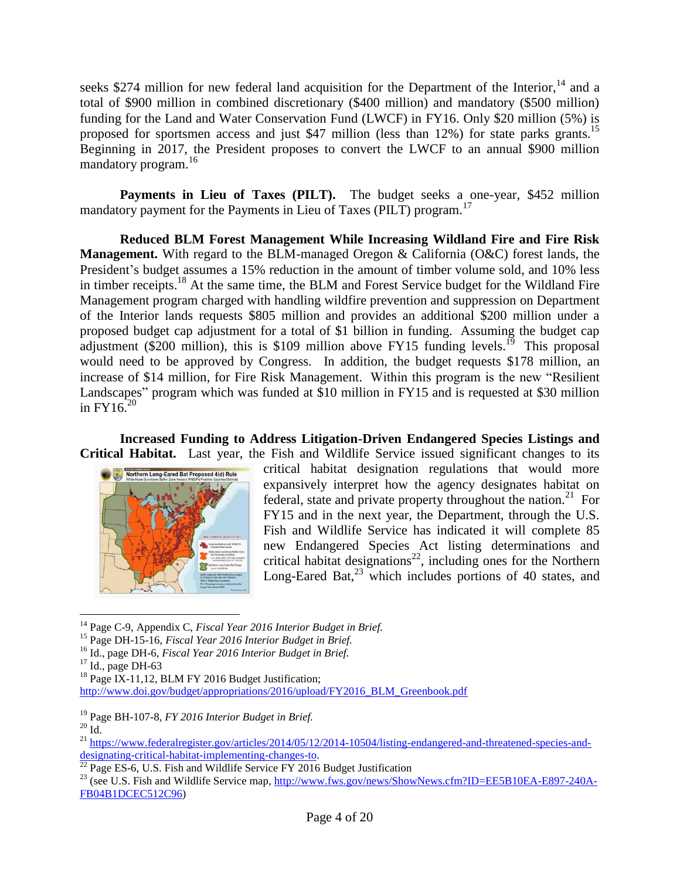seeks \$274 million for new federal land acquisition for the Department of the Interior,  $14$  and a total of \$900 million in combined discretionary (\$400 million) and mandatory (\$500 million) funding for the Land and Water Conservation Fund (LWCF) in FY16. Only \$20 million (5%) is proposed for sportsmen access and just \$47 million (less than 12%) for state parks grants.<sup>15</sup> Beginning in 2017, the President proposes to convert the LWCF to an annual \$900 million mandatory program.<sup>16</sup>

**Payments in Lieu of Taxes (PILT).** The budget seeks a one-year, \$452 million mandatory payment for the Payments in Lieu of Taxes (PILT) program.<sup>17</sup>

**Reduced BLM Forest Management While Increasing Wildland Fire and Fire Risk Management.** With regard to the BLM-managed Oregon & California (O&C) forest lands, the President's budget assumes a 15% reduction in the amount of timber volume sold, and 10% less in timber receipts.<sup>18</sup> At the same time, the BLM and Forest Service budget for the Wildland Fire Management program charged with handling wildfire prevention and suppression on Department of the Interior lands requests \$805 million and provides an additional \$200 million under a proposed budget cap adjustment for a total of \$1 billion in funding. Assuming the budget cap adjustment ( $\frac{$200}{$200}$$  million), this is \$109 million above FY15 funding levels.<sup>19</sup> This proposal would need to be approved by Congress. In addition, the budget requests \$178 million, an increase of \$14 million, for Fire Risk Management. Within this program is the new "Resilient Landscapes" program which was funded at \$10 million in FY15 and is requested at \$30 million in  $FY16^{20}$ 

**Increased Funding to Address Litigation-Driven Endangered Species Listings and Critical Habitat.** Last year, the Fish and Wildlife Service issued significant changes to its



critical habitat designation regulations that would more expansively interpret how the agency designates habitat on federal, state and private property throughout the nation.<sup>21</sup> For FY15 and in the next year, the Department, through the U.S. Fish and Wildlife Service has indicated it will complete 85 new Endangered Species Act listing determinations and critical habitat designations<sup>22</sup>, including ones for the Northern Long-Eared Bat,<sup>23</sup> which includes portions of 40 states, and

<sup>14</sup> Page C-9, Appendix C, *Fiscal Year 2016 Interior Budget in Brief.*

<sup>15</sup> Page DH-15-16, *Fiscal Year 2016 Interior Budget in Brief.*

<sup>16</sup> Id., page DH-6*, Fiscal Year 2016 Interior Budget in Brief.*

 $17$  Id., page DH-63

<sup>&</sup>lt;sup>18</sup> Page IX-11,12, BLM FY 2016 Budget Justification;

[http://www.doi.gov/budget/appropriations/2016/upload/FY2016\\_BLM\\_Greenbook.pdf](http://www.doi.gov/budget/appropriations/2016/upload/FY2016_BLM_Greenbook.pdf)

<sup>19</sup> Page BH-107-8, *FY 2016 Interior Budget in Brief.*

 $20$  Id.

<sup>&</sup>lt;sup>21</sup> [https://www.federalregister.gov/articles/2014/05/12/2014-10504/listing-endangered-and-threatened-species-and](https://www.federalregister.gov/articles/2014/05/12/2014-10504/listing-endangered-and-threatened-species-and-designating-critical-habitat-implementing-changes-to)[designating-critical-habitat-implementing-changes-to.](https://www.federalregister.gov/articles/2014/05/12/2014-10504/listing-endangered-and-threatened-species-and-designating-critical-habitat-implementing-changes-to)

 $^{22}$  Page ES-6, U.S. Fish and Wildlife Service FY 2016 Budget Justification

<sup>&</sup>lt;sup>23</sup> (see U.S. Fish and Wildlife Service map, [http://www.fws.gov/news/ShowNews.cfm?ID=EE5B10EA-E897-240A-](http://www.fws.gov/news/ShowNews.cfm?ID=EE5B10EA-E897-240A-FB04B1DCEC512C96)[FB04B1DCEC512C96\)](http://www.fws.gov/news/ShowNews.cfm?ID=EE5B10EA-E897-240A-FB04B1DCEC512C96)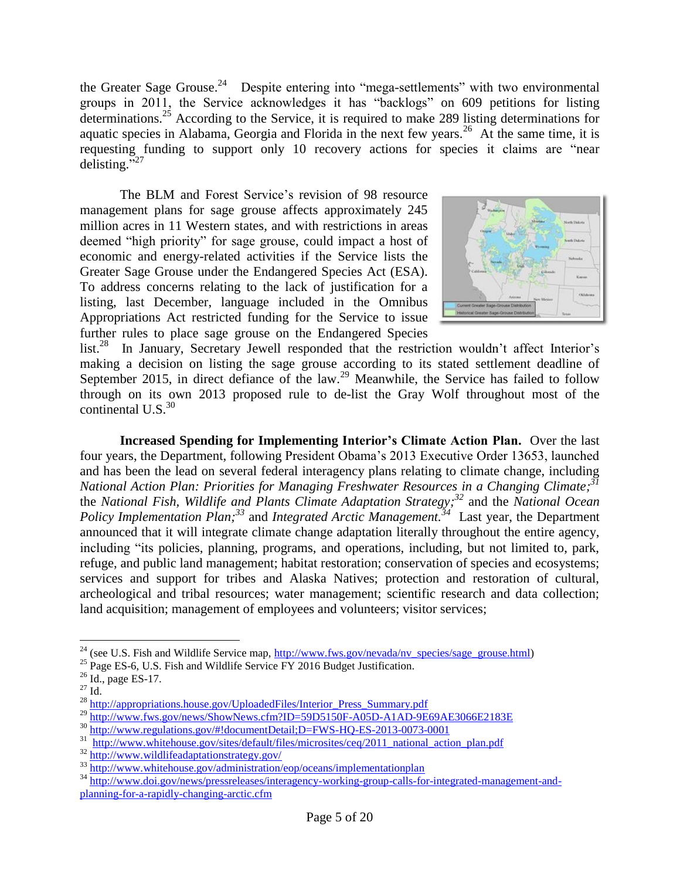the Greater Sage Grouse.<sup>24</sup> Despite entering into "mega-settlements" with two environmental groups in 2011, the Service acknowledges it has "backlogs" on 609 petitions for listing determinations.<sup>25</sup> According to the Service, it is required to make 289 listing determinations for aquatic species in Alabama, Georgia and Florida in the next few years.<sup>26</sup> At the same time, it is requesting funding to support only 10 recovery actions for species it claims are "near delisting. $527$ 

The BLM and Forest Service's revision of 98 resource management plans for sage grouse affects approximately 245 million acres in 11 Western states, and with restrictions in areas deemed "high priority" for sage grouse, could impact a host of economic and energy-related activities if the Service lists the Greater Sage Grouse under the Endangered Species Act (ESA). To address concerns relating to the lack of justification for a listing, last December, language included in the Omnibus Appropriations Act restricted funding for the Service to issue further rules to place sage grouse on the Endangered Species



list.<sup>28</sup> In January, Secretary Jewell responded that the restriction wouldn't affect Interior's making a decision on listing the sage grouse according to its stated settlement deadline of September 2015, in direct defiance of the law.<sup>29</sup> Meanwhile, the Service has failed to follow through on its own 2013 proposed rule to de-list the Gray Wolf throughout most of the continental U.S. $30$ 

**Increased Spending for Implementing Interior's Climate Action Plan.** Over the last four years, the Department, following President Obama's 2013 Executive Order 13653, launched and has been the lead on several federal interagency plans relating to climate change, including *National Action Plan: Priorities for Managing Freshwater Resources in a Changing Climate; 31* the *National Fish, Wildlife and Plants Climate Adaptation Strategy; <sup>32</sup>* and the *National Ocean Policy Implementation Plan; <sup>33</sup>* and *Integrated Arctic Management. 34* Last year, the Department announced that it will integrate climate change adaptation literally throughout the entire agency, including "its policies, planning, programs, and operations, including, but not limited to, park, refuge, and public land management; habitat restoration; conservation of species and ecosystems; services and support for tribes and Alaska Natives; protection and restoration of cultural, archeological and tribal resources; water management; scientific research and data collection; land acquisition; management of employees and volunteers; visitor services;

<sup>&</sup>lt;sup>24</sup> (see U.S. Fish and Wildlife Service map,  $\frac{http://www.fws.gov/nevada/nv_species/sage\_grouse.html)}{http://www.fws.gov/nevada/nv_species/sage_grouse.html)}$ 

 $^{25}$  Page ES-6, U.S. Fish and Wildlife Service FY 2016 Budget Justification.

 $26$  Id., page ES-17.

 $^{27}$  Id.  $\,$ 

<sup>&</sup>lt;sup>28</sup> [http://appropriations.house.gov/UploadedFiles/Interior\\_Press\\_Summary.pdf](http://appropriations.house.gov/UploadedFiles/Interior_Press_Summary.pdf)

<sup>&</sup>lt;sup>29</sup> <http://www.fws.gov/news/ShowNews.cfm?ID=59D5150F-A05D-A1AD-9E69AE3066E2183E>

<sup>30</sup> <http://www.regulations.gov/#!documentDetail;D=FWS-HQ-ES-2013-0073-0001>

<sup>31</sup> [http://www.whitehouse.gov/sites/default/files/microsites/ceq/2011\\_national\\_action\\_plan.pdf](http://www.whitehouse.gov/sites/default/files/microsites/ceq/2011_national_action_plan.pdf)

<sup>32</sup> <http://www.wildlifeadaptationstrategy.gov/>

<sup>&</sup>lt;sup>33</sup> <http://www.whitehouse.gov/administration/eop/oceans/implementationplan>

<sup>34</sup> [http://www.doi.gov/news/pressreleases/interagency-working-group-calls-for-integrated-management-and](http://www.doi.gov/news/pressreleases/interagency-working-group-calls-for-integrated-management-and-%20planning-for-a-rapidly-changing-arctic.cfm)[planning-for-a-rapidly-changing-arctic.cfm](http://www.doi.gov/news/pressreleases/interagency-working-group-calls-for-integrated-management-and-%20planning-for-a-rapidly-changing-arctic.cfm)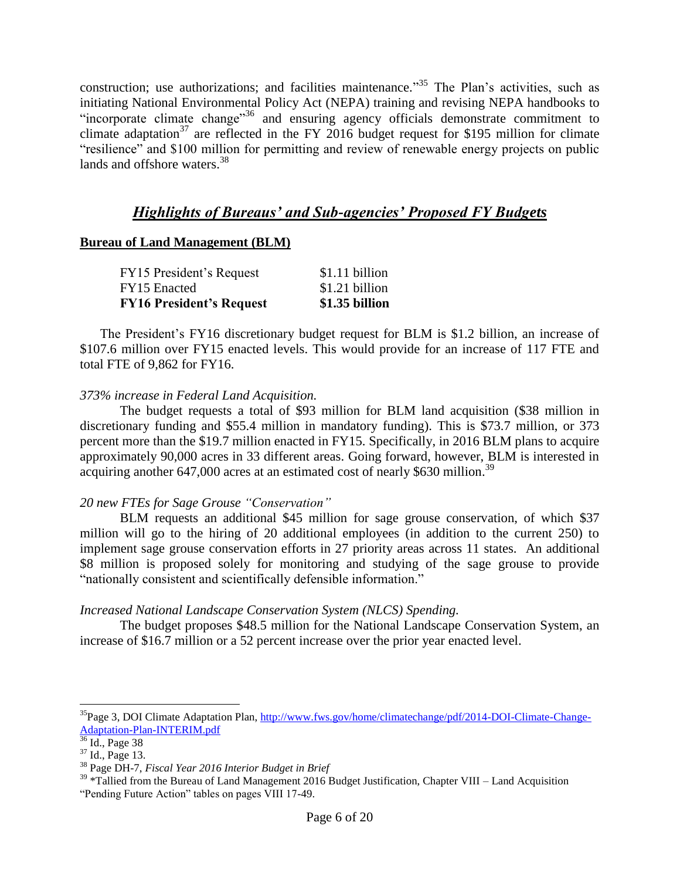construction; use authorizations; and facilities maintenance."<sup>35</sup> The Plan's activities, such as initiating National Environmental Policy Act (NEPA) training and revising NEPA handbooks to "incorporate climate change"<sup>36</sup> and ensuring agency officials demonstrate commitment to climate adaptation<sup>37</sup> are reflected in the FY 2016 budget request for \$195 million for climate "resilience" and \$100 million for permitting and review of renewable energy projects on public lands and offshore waters.<sup>38</sup>

# *Highlights of Bureaus' and Sub-agencies' Proposed FY Budgets*

# **Bureau of Land Management (BLM)**

| <b>FY16 President's Request</b> | \$1.35 billion |
|---------------------------------|----------------|
| FY15 Enacted                    | \$1.21 billion |
| FY15 President's Request        | \$1.11 billion |

The President's FY16 discretionary budget request for BLM is \$1.2 billion, an increase of \$107.6 million over FY15 enacted levels. This would provide for an increase of 117 FTE and total FTE of 9,862 for FY16.

# *373% increase in Federal Land Acquisition.*

The budget requests a total of \$93 million for BLM land acquisition (\$38 million in discretionary funding and \$55.4 million in mandatory funding). This is \$73.7 million, or 373 percent more than the \$19.7 million enacted in FY15. Specifically, in 2016 BLM plans to acquire approximately 90,000 acres in 33 different areas. Going forward, however, BLM is interested in acquiring another 647,000 acres at an estimated cost of nearly \$630 million.<sup>39</sup>

# *20 new FTEs for Sage Grouse "Conservation"*

BLM requests an additional \$45 million for sage grouse conservation, of which \$37 million will go to the hiring of 20 additional employees (in addition to the current 250) to implement sage grouse conservation efforts in 27 priority areas across 11 states. An additional \$8 million is proposed solely for monitoring and studying of the sage grouse to provide "nationally consistent and scientifically defensible information."

# *Increased National Landscape Conservation System (NLCS) Spending.*

The budget proposes \$48.5 million for the National Landscape Conservation System, an increase of \$16.7 million or a 52 percent increase over the prior year enacted level.

 $35P$ age 3, DOI Climate Adaptation Plan, [http://www.fws.gov/home/climatechange/pdf/2014-DOI-Climate-Change-](http://www.fws.gov/home/climatechange/pdf/2014-DOI-Climate-Change-Adaptation-Plan-INTERIM.pdf)[Adaptation-Plan-INTERIM.pdf](http://www.fws.gov/home/climatechange/pdf/2014-DOI-Climate-Change-Adaptation-Plan-INTERIM.pdf)

 $36$  Id., Page 38

 $37$  Id., Page 13.

<sup>38</sup> Page DH-7, *Fiscal Year 2016 Interior Budget in Brief*

 $39$  \*Tallied from the Bureau of Land Management 2016 Budget Justification, Chapter VIII – Land Acquisition "Pending Future Action" tables on pages VIII 17-49.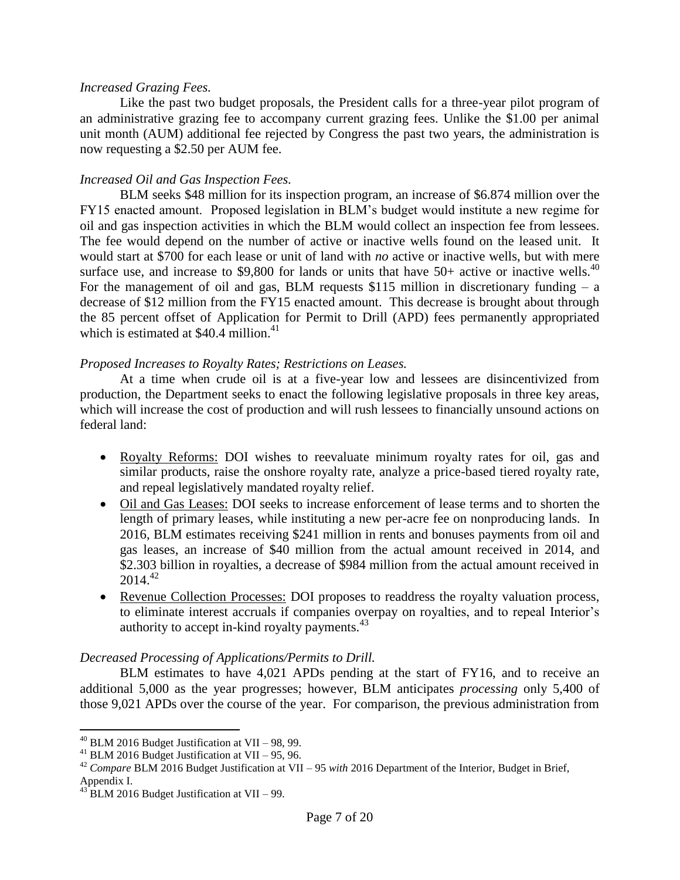#### *Increased Grazing Fees.*

Like the past two budget proposals, the President calls for a three-year pilot program of an administrative grazing fee to accompany current grazing fees. Unlike the \$1.00 per animal unit month (AUM) additional fee rejected by Congress the past two years, the administration is now requesting a \$2.50 per AUM fee.

## *Increased Oil and Gas Inspection Fees.*

BLM seeks \$48 million for its inspection program, an increase of \$6.874 million over the FY15 enacted amount. Proposed legislation in BLM's budget would institute a new regime for oil and gas inspection activities in which the BLM would collect an inspection fee from lessees. The fee would depend on the number of active or inactive wells found on the leased unit. It would start at \$700 for each lease or unit of land with *no* active or inactive wells, but with mere surface use, and increase to \$9,800 for lands or units that have  $50+$  active or inactive wells.<sup>40</sup> For the management of oil and gas, BLM requests  $$115$  million in discretionary funding – a decrease of \$12 million from the FY15 enacted amount. This decrease is brought about through the 85 percent offset of Application for Permit to Drill (APD) fees permanently appropriated which is estimated at  $$40.4$  million.<sup>41</sup>

#### *Proposed Increases to Royalty Rates; Restrictions on Leases.*

At a time when crude oil is at a five-year low and lessees are disincentivized from production, the Department seeks to enact the following legislative proposals in three key areas, which will increase the cost of production and will rush lessees to financially unsound actions on federal land:

- Royalty Reforms: DOI wishes to reevaluate minimum royalty rates for oil, gas and similar products, raise the onshore royalty rate, analyze a price-based tiered royalty rate, and repeal legislatively mandated royalty relief.
- Oil and Gas Leases: DOI seeks to increase enforcement of lease terms and to shorten the length of primary leases, while instituting a new per-acre fee on nonproducing lands. In 2016, BLM estimates receiving \$241 million in rents and bonuses payments from oil and gas leases, an increase of \$40 million from the actual amount received in 2014, and \$2.303 billion in royalties, a decrease of \$984 million from the actual amount received in 2014.<sup>42</sup>
- Revenue Collection Processes: DOI proposes to readdress the royalty valuation process, to eliminate interest accruals if companies overpay on royalties, and to repeal Interior's authority to accept in-kind royalty payments.<sup>43</sup>

#### *Decreased Processing of Applications/Permits to Drill.*

BLM estimates to have 4,021 APDs pending at the start of FY16, and to receive an additional 5,000 as the year progresses; however, BLM anticipates *processing* only 5,400 of those 9,021 APDs over the course of the year. For comparison, the previous administration from

 $^{40}$  BLM 2016 Budget Justification at VII – 98, 99.

<sup>&</sup>lt;sup>41</sup> BLM 2016 Budget Justification at VII – 95, 96.

<sup>42</sup> *Compare* BLM 2016 Budget Justification at VII – 95 *with* 2016 Department of the Interior, Budget in Brief, Appendix I.

 $^{43}$  BLM 2016 Budget Justification at VII – 99.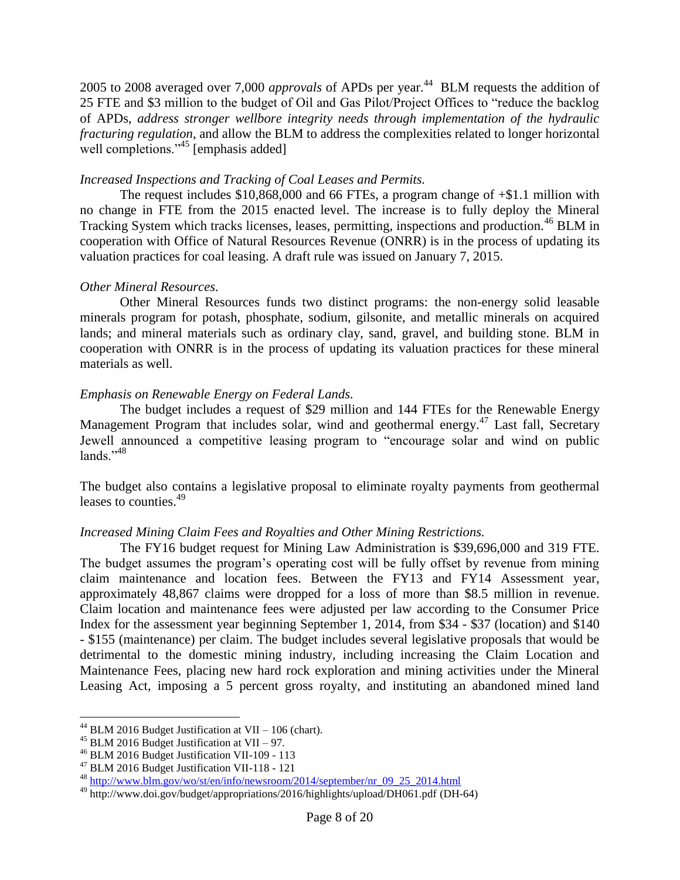2005 to 2008 averaged over 7,000 *approvals* of APDs per year.<sup>44</sup> BLM requests the addition of 25 FTE and \$3 million to the budget of Oil and Gas Pilot/Project Offices to "reduce the backlog of APDs, *address stronger wellbore integrity needs through implementation of the hydraulic fracturing regulation*, and allow the BLM to address the complexities related to longer horizontal well completions."<sup>45</sup> [emphasis added]

## *Increased Inspections and Tracking of Coal Leases and Permits.*

The request includes \$10,868,000 and 66 FTEs, a program change of +\$1.1 million with no change in FTE from the 2015 enacted level. The increase is to fully deploy the Mineral Tracking System which tracks licenses, leases, permitting, inspections and production.<sup>46</sup> BLM in cooperation with Office of Natural Resources Revenue (ONRR) is in the process of updating its valuation practices for coal leasing. A draft rule was issued on January 7, 2015.

## *Other Mineral Resources.*

Other Mineral Resources funds two distinct programs: the non-energy solid leasable minerals program for potash, phosphate, sodium, gilsonite, and metallic minerals on acquired lands; and mineral materials such as ordinary clay, sand, gravel, and building stone. BLM in cooperation with ONRR is in the process of updating its valuation practices for these mineral materials as well.

## *Emphasis on Renewable Energy on Federal Lands.*

The budget includes a request of \$29 million and 144 FTEs for the Renewable Energy Management Program that includes solar, wind and geothermal energy.<sup>47</sup> Last fall, Secretary Jewell announced a competitive leasing program to "encourage solar and wind on public lands $^{7,48}$ 

The budget also contains a legislative proposal to eliminate royalty payments from geothermal leases to counties.<sup>49</sup>

## *Increased Mining Claim Fees and Royalties and Other Mining Restrictions.*

The FY16 budget request for Mining Law Administration is \$39,696,000 and 319 FTE. The budget assumes the program's operating cost will be fully offset by revenue from mining claim maintenance and location fees. Between the FY13 and FY14 Assessment year, approximately 48,867 claims were dropped for a loss of more than \$8.5 million in revenue. Claim location and maintenance fees were adjusted per law according to the Consumer Price Index for the assessment year beginning September 1, 2014, from \$34 - \$37 (location) and \$140 - \$155 (maintenance) per claim. The budget includes several legislative proposals that would be detrimental to the domestic mining industry, including increasing the Claim Location and Maintenance Fees, placing new hard rock exploration and mining activities under the Mineral Leasing Act, imposing a 5 percent gross royalty, and instituting an abandoned mined land

<sup>&</sup>lt;sup>44</sup> BLM 2016 Budget Justification at VII – 106 (chart).

<sup>&</sup>lt;sup>45</sup> BLM 2016 Budget Justification at VII – 97.

<sup>46</sup> BLM 2016 Budget Justification VII-109 - 113

<sup>47</sup> BLM 2016 Budget Justification VII-118 - 121

<sup>48</sup> [http://www.blm.gov/wo/st/en/info/newsroom/2014/september/nr\\_09\\_25\\_2014.html](http://www.blm.gov/wo/st/en/info/newsroom/2014/september/nr_09_25_2014.html)

<sup>49</sup> http://www.doi.gov/budget/appropriations/2016/highlights/upload/DH061.pdf (DH-64)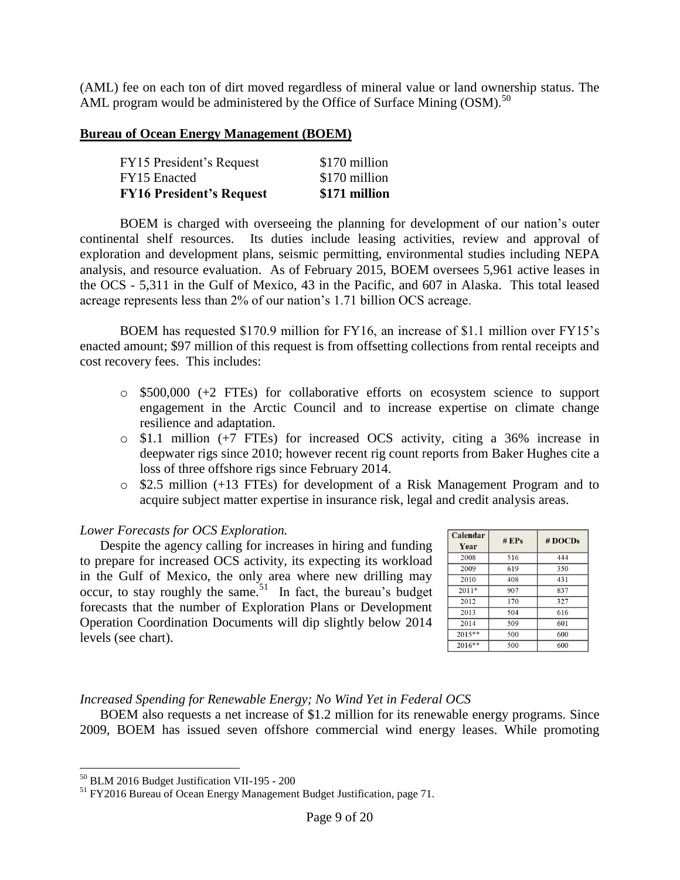(AML) fee on each ton of dirt moved regardless of mineral value or land ownership status. The AML program would be administered by the Office of Surface Mining  $\text{(OSM)}$ .<sup>50</sup>

#### **Bureau of Ocean Energy Management (BOEM)**

| <b>FY16 President's Request</b> | \$171 million |
|---------------------------------|---------------|
| FY15 Enacted                    | \$170 million |
| FY15 President's Request        | \$170 million |

BOEM is charged with overseeing the planning for development of our nation's outer continental shelf resources. Its duties include leasing activities, review and approval of exploration and development plans, seismic permitting, environmental studies including NEPA analysis, and resource evaluation. As of February 2015, BOEM oversees 5,961 active leases in the OCS - 5,311 in the Gulf of Mexico, 43 in the Pacific, and 607 in Alaska. This total leased acreage represents less than 2% of our nation's 1.71 billion OCS acreage.

BOEM has requested \$170.9 million for FY16, an increase of \$1.1 million over FY15's enacted amount; \$97 million of this request is from offsetting collections from rental receipts and cost recovery fees. This includes:

- o \$500,000 (+2 FTEs) for collaborative efforts on ecosystem science to support engagement in the Arctic Council and to increase expertise on climate change resilience and adaptation.
- o \$1.1 million (+7 FTEs) for increased OCS activity, citing a 36% increase in deepwater rigs since 2010; however recent rig count reports from Baker Hughes cite a loss of three offshore rigs since February 2014.
- o \$2.5 million (+13 FTEs) for development of a Risk Management Program and to acquire subject matter expertise in insurance risk, legal and credit analysis areas.

## *Lower Forecasts for OCS Exploration.*

Despite the agency calling for increases in hiring and funding to prepare for increased OCS activity, its expecting its workload in the Gulf of Mexico, the only area where new drilling may occur, to stay roughly the same.<sup>51</sup> In fact, the bureau's budget forecasts that the number of Exploration Plans or Development Operation Coordination Documents will dip slightly below 2014 levels (see chart).

| Calendar<br>Year | $#$ EPs | # DOCDs |
|------------------|---------|---------|
| 2008             | 516     | 444     |
| 2009             | 619     | 350     |
| 2010             | 408     | 431     |
| $2011*$          | 907     | 837     |
| 2012             | 170     | 327     |
| 2013             | 504     | 616     |
| 2014             | 509     | 601     |
| 2015**           | 500     | 600     |
| $2016**$         | 500     | 600     |

# *Increased Spending for Renewable Energy; No Wind Yet in Federal OCS*

BOEM also requests a net increase of \$1.2 million for its renewable energy programs. Since 2009, BOEM has issued seven offshore commercial wind energy leases. While promoting

 $50$  BLM 2016 Budget Justification VII-195 - 200

<sup>&</sup>lt;sup>51</sup> FY2016 Bureau of Ocean Energy Management Budget Justification, page 71.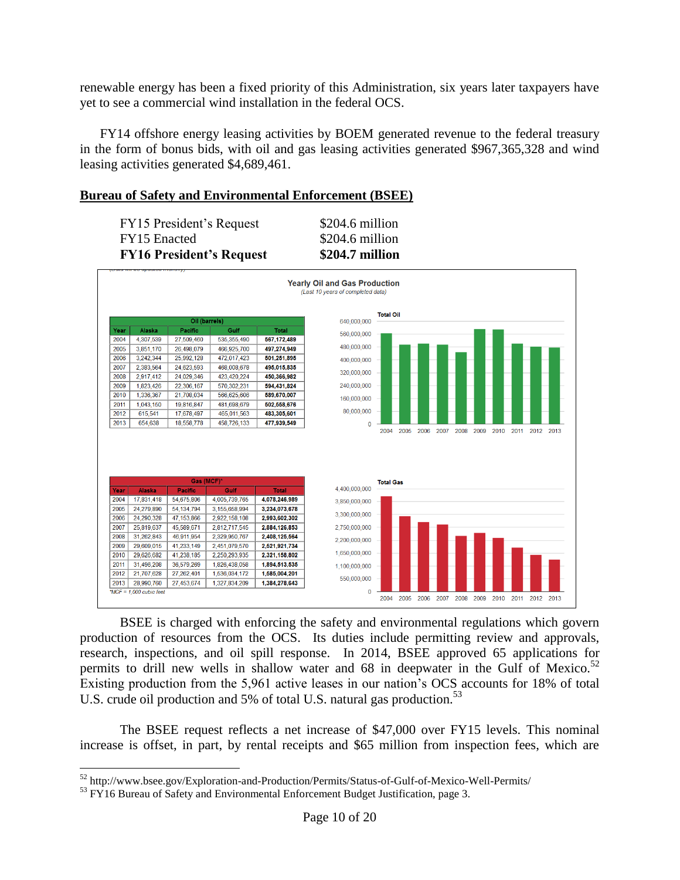renewable energy has been a fixed priority of this Administration, six years later taxpayers have yet to see a commercial wind installation in the federal OCS.

FY14 offshore energy leasing activities by BOEM generated revenue to the federal treasury in the form of bonus bids, with oil and gas leasing activities generated \$967,365,328 and wind leasing activities generated \$4,689,461.

## **Bureau of Safety and Environmental Enforcement (BSEE)**

| <b>FY16 President's Request</b> | \$204.7 million |
|---------------------------------|-----------------|
| <b>FY15</b> Enacted             | \$204.6 million |
| FY15 President's Request        | \$204.6 million |



BSEE is charged with enforcing the safety and environmental regulations which govern production of resources from the OCS. Its duties include permitting review and approvals, research, inspections, and oil spill response. In 2014, BSEE approved 65 applications for permits to drill new wells in shallow water and 68 in deepwater in the Gulf of Mexico.<sup>52</sup> Existing production from the 5,961 active leases in our nation's OCS accounts for 18% of total U.S. crude oil production and 5% of total U.S. natural gas production.<sup>53</sup>

The BSEE request reflects a net increase of \$47,000 over FY15 levels. This nominal increase is offset, in part, by rental receipts and \$65 million from inspection fees, which are

<sup>52</sup> http://www.bsee.gov/Exploration-and-Production/Permits/Status-of-Gulf-of-Mexico-Well-Permits/

<sup>&</sup>lt;sup>53</sup> FY16 Bureau of Safety and Environmental Enforcement Budget Justification, page 3.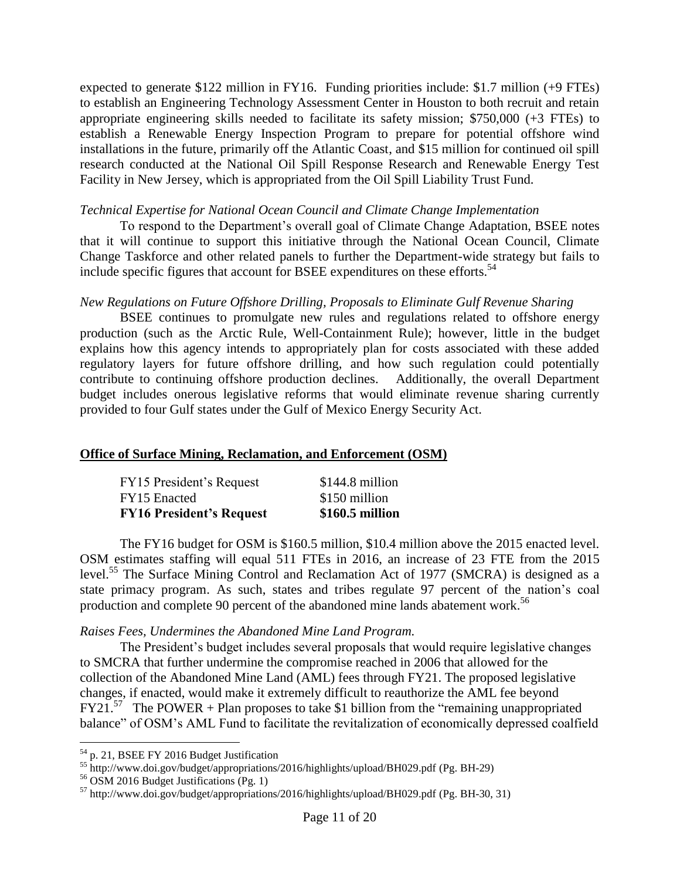expected to generate \$122 million in FY16. Funding priorities include: \$1.7 million (+9 FTEs) to establish an Engineering Technology Assessment Center in Houston to both recruit and retain appropriate engineering skills needed to facilitate its safety mission; \$750,000 (+3 FTEs) to establish a Renewable Energy Inspection Program to prepare for potential offshore wind installations in the future, primarily off the Atlantic Coast, and \$15 million for continued oil spill research conducted at the National Oil Spill Response Research and Renewable Energy Test Facility in New Jersey, which is appropriated from the Oil Spill Liability Trust Fund.

#### *Technical Expertise for National Ocean Council and Climate Change Implementation*

To respond to the Department's overall goal of Climate Change Adaptation, BSEE notes that it will continue to support this initiative through the National Ocean Council, Climate Change Taskforce and other related panels to further the Department-wide strategy but fails to include specific figures that account for BSEE expenditures on these efforts.<sup>54</sup>

## *New Regulations on Future Offshore Drilling, Proposals to Eliminate Gulf Revenue Sharing*

BSEE continues to promulgate new rules and regulations related to offshore energy production (such as the Arctic Rule, Well-Containment Rule); however, little in the budget explains how this agency intends to appropriately plan for costs associated with these added regulatory layers for future offshore drilling, and how such regulation could potentially contribute to continuing offshore production declines. Additionally, the overall Department budget includes onerous legislative reforms that would eliminate revenue sharing currently provided to four Gulf states under the Gulf of Mexico Energy Security Act.

## **Office of Surface Mining, Reclamation, and Enforcement (OSM)**

| FY15 President's Request        | $$144.8$ million |
|---------------------------------|------------------|
| FY15 Enacted                    | \$150 million    |
| <b>FY16 President's Request</b> | \$160.5 million  |

The FY16 budget for OSM is \$160.5 million, \$10.4 million above the 2015 enacted level. OSM estimates staffing will equal 511 FTEs in 2016, an increase of 23 FTE from the 2015 level.<sup>55</sup> The Surface Mining Control and Reclamation Act of 1977 (SMCRA) is designed as a state primacy program. As such, states and tribes regulate 97 percent of the nation's coal production and complete 90 percent of the abandoned mine lands abatement work.<sup>56</sup>

## *Raises Fees, Undermines the Abandoned Mine Land Program.*

The President's budget includes several proposals that would require legislative changes to SMCRA that further undermine the compromise reached in 2006 that allowed for the collection of the Abandoned Mine Land (AML) fees through FY21. The proposed legislative changes, if enacted, would make it extremely difficult to reauthorize the AML fee beyond  $FY21.<sup>57</sup>$  The POWER + Plan proposes to take \$1 billion from the "remaining unappropriated" balance" of OSM's AML Fund to facilitate the revitalization of economically depressed coalfield

 $54$  p. 21, BSEE FY 2016 Budget Justification

<sup>55</sup> http://www.doi.gov/budget/appropriations/2016/highlights/upload/BH029.pdf (Pg. BH-29)

 $56$  OSM 2016 Budget Justifications (Pg. 1)

<sup>57</sup> http://www.doi.gov/budget/appropriations/2016/highlights/upload/BH029.pdf (Pg. BH-30, 31)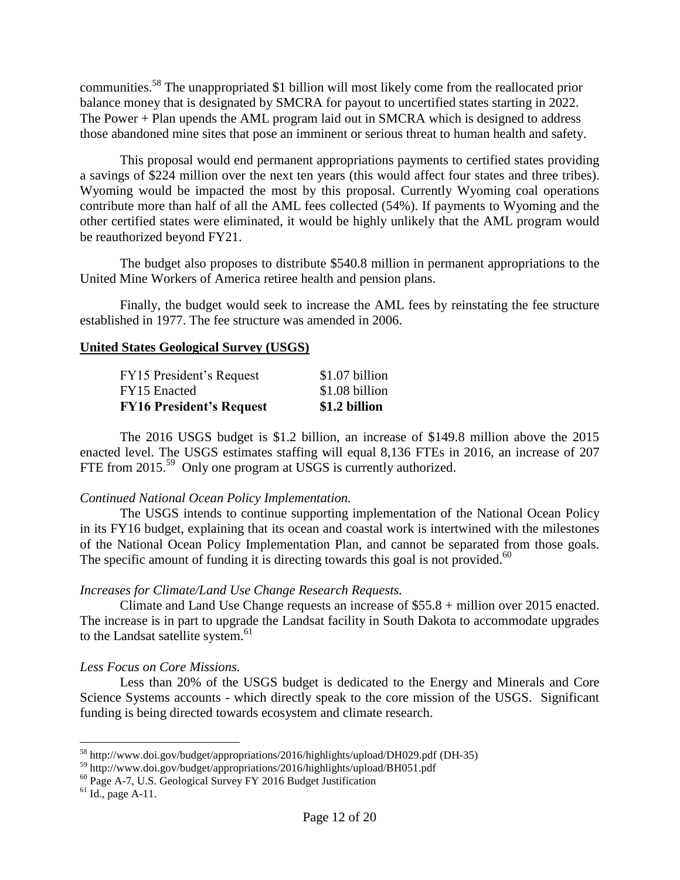communities.<sup>58</sup> The unappropriated \$1 billion will most likely come from the reallocated prior balance money that is designated by SMCRA for payout to uncertified states starting in 2022. The Power + Plan upends the AML program laid out in SMCRA which is designed to address those abandoned mine sites that pose an imminent or serious threat to human health and safety.

This proposal would end permanent appropriations payments to certified states providing a savings of \$224 million over the next ten years (this would affect four states and three tribes). Wyoming would be impacted the most by this proposal. Currently Wyoming coal operations contribute more than half of all the AML fees collected (54%). If payments to Wyoming and the other certified states were eliminated, it would be highly unlikely that the AML program would be reauthorized beyond FY21.

The budget also proposes to distribute \$540.8 million in permanent appropriations to the United Mine Workers of America retiree health and pension plans.

Finally, the budget would seek to increase the AML fees by reinstating the fee structure established in 1977. The fee structure was amended in 2006.

#### **United States Geological Survey (USGS)**

| <b>FY16 President's Request</b> | \$1.2 billion  |
|---------------------------------|----------------|
| FY15 Enacted                    | \$1.08 billion |
| FY15 President's Request        | \$1.07 billion |

The 2016 USGS budget is \$1.2 billion, an increase of \$149.8 million above the 2015 enacted level. The USGS estimates staffing will equal 8,136 FTEs in 2016, an increase of 207 FTE from 2015.<sup>59</sup> Only one program at USGS is currently authorized.

## *Continued National Ocean Policy Implementation.*

The USGS intends to continue supporting implementation of the National Ocean Policy in its FY16 budget, explaining that its ocean and coastal work is intertwined with the milestones of the National Ocean Policy Implementation Plan, and cannot be separated from those goals. The specific amount of funding it is directing towards this goal is not provided.<sup>60</sup>

## *Increases for Climate/Land Use Change Research Requests.*

Climate and Land Use Change requests an increase of \$55.8 + million over 2015 enacted. The increase is in part to upgrade the Landsat facility in South Dakota to accommodate upgrades to the Landsat satellite system.<sup>61</sup>

## *Less Focus on Core Missions.*

Less than 20% of the USGS budget is dedicated to the Energy and Minerals and Core Science Systems accounts - which directly speak to the core mission of the USGS. Significant funding is being directed towards ecosystem and climate research.

<sup>&</sup>lt;sup>58</sup> http://www.doi.gov/budget/appropriations/2016/highlights/upload/DH029.pdf (DH-35)

<sup>59</sup> http://www.doi.gov/budget/appropriations/2016/highlights/upload/BH051.pdf

 $^{60}$  Page A-7, U.S. Geological Survey FY 2016 Budget Justification

 $<sup>61</sup>$  Id., page A-11.</sup>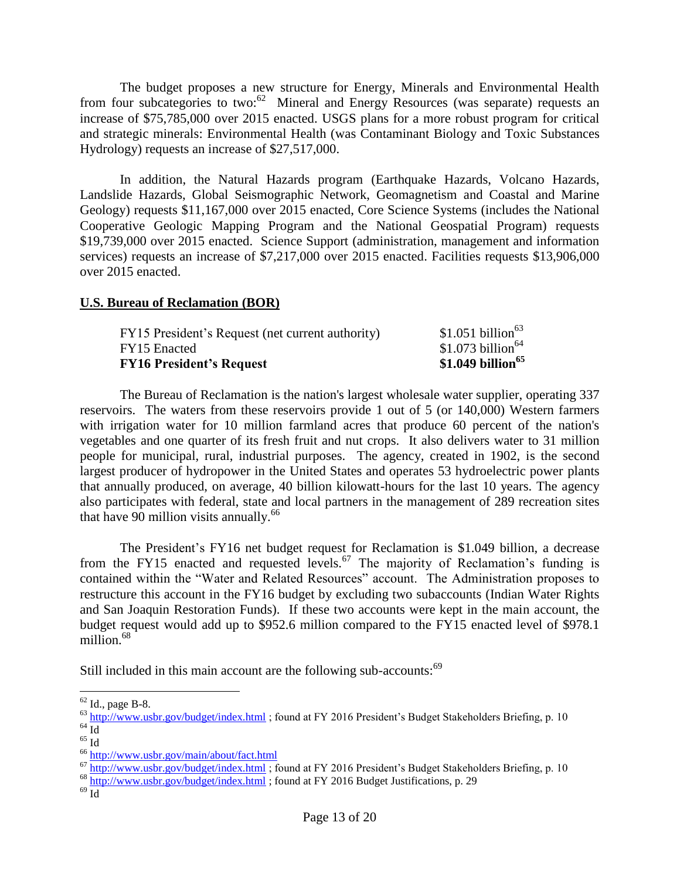The budget proposes a new structure for Energy, Minerals and Environmental Health from four subcategories to two:<sup>62</sup> Mineral and Energy Resources (was separate) requests an increase of \$75,785,000 over 2015 enacted. USGS plans for a more robust program for critical and strategic minerals: Environmental Health (was Contaminant Biology and Toxic Substances Hydrology) requests an increase of \$27,517,000.

In addition, the Natural Hazards program (Earthquake Hazards, Volcano Hazards, Landslide Hazards, Global Seismographic Network, Geomagnetism and Coastal and Marine Geology) requests \$11,167,000 over 2015 enacted, Core Science Systems (includes the National Cooperative Geologic Mapping Program and the National Geospatial Program) requests \$19,739,000 over 2015 enacted. Science Support (administration, management and information services) requests an increase of \$7,217,000 over 2015 enacted. Facilities requests \$13,906,000 over 2015 enacted.

#### **U.S. Bureau of Reclamation (BOR)**

| <b>FY16 President's Request</b>                  | \$1.049 billion <sup>65</sup> |
|--------------------------------------------------|-------------------------------|
| FY15 Enacted                                     | \$1.073 billion <sup>64</sup> |
| FY15 President's Request (net current authority) | \$1.051 billion <sup>63</sup> |

The Bureau of Reclamation is the nation's largest wholesale water supplier, operating 337 reservoirs. The waters from these reservoirs provide 1 out of 5 (or 140,000) Western farmers with irrigation water for 10 million farmland acres that produce 60 percent of the nation's vegetables and one quarter of its fresh fruit and nut crops. It also delivers water to 31 million people for municipal, rural, industrial purposes. The agency, created in 1902, is the second largest producer of hydropower in the United States and operates 53 hydroelectric power plants that annually produced, on average, 40 billion kilowatt-hours for the last 10 years. The agency also participates with federal, state and local partners in the management of 289 recreation sites that have 90 million visits annually. $^{66}$ 

The President's FY16 net budget request for Reclamation is \$1.049 billion, a decrease from the FY15 enacted and requested levels.<sup>67</sup> The majority of Reclamation's funding is contained within the "Water and Related Resources" account. The Administration proposes to restructure this account in the FY16 budget by excluding two subaccounts (Indian Water Rights and San Joaquin Restoration Funds). If these two accounts were kept in the main account, the budget request would add up to \$952.6 million compared to the FY15 enacted level of \$978.1 million $68$ 

Still included in this main account are the following sub-accounts:<sup>69</sup>

 $62$  Id., page B-8.

 $^{63}$  <http://www.usbr.gov/budget/index.html> ; found at FY 2016 President's Budget Stakeholders Briefing, p. 10  $64 \overline{Id}$ 

<sup>65</sup> Id

<sup>66</sup> <http://www.usbr.gov/main/about/fact.html>

<sup>67</sup> <http://www.usbr.gov/budget/index.html> ; found at FY 2016 President's Budget Stakeholders Briefing, p. 10

 $\frac{1}{100}$  <http://www.usbr.gov/budget/index.html> ; found at FY 2016 Budget Justifications, p. 29

 $69 \overline{Id}$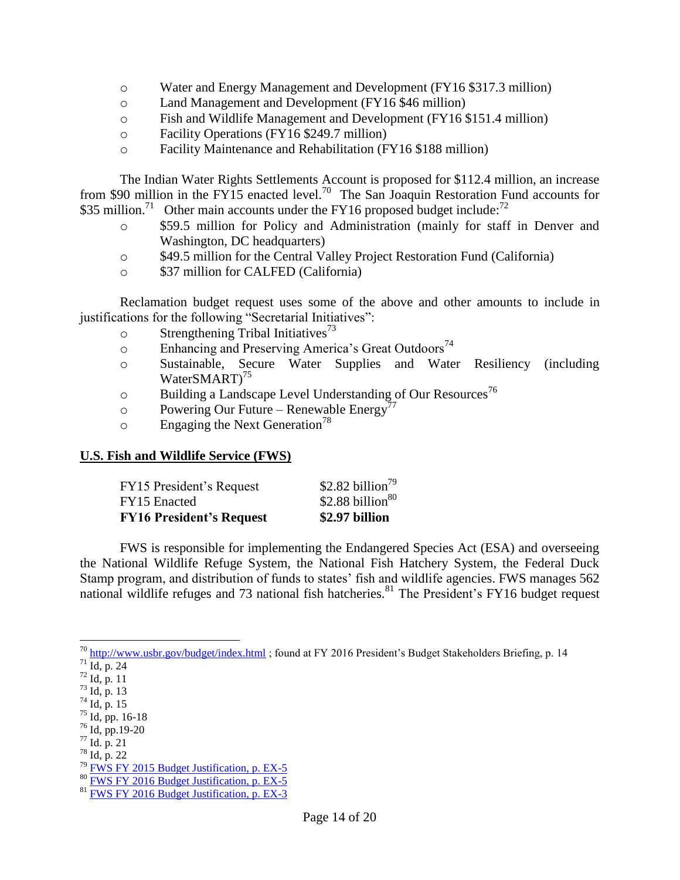- o Water and Energy Management and Development (FY16 \$317.3 million)
- o Land Management and Development (FY16 \$46 million)
- o Fish and Wildlife Management and Development (FY16 \$151.4 million)
- o Facility Operations (FY16 \$249.7 million)
- o Facility Maintenance and Rehabilitation (FY16 \$188 million)

The Indian Water Rights Settlements Account is proposed for \$112.4 million, an increase from \$90 million in the FY15 enacted level.<sup>70</sup> The San Joaquin Restoration Fund accounts for \$35 million.<sup>71</sup> Other main accounts under the FY16 proposed budget include:<sup>72</sup>

- o \$59.5 million for Policy and Administration (mainly for staff in Denver and Washington, DC headquarters)
- o \$49.5 million for the Central Valley Project Restoration Fund (California)
- o \$37 million for CALFED (California)

Reclamation budget request uses some of the above and other amounts to include in justifications for the following "Secretarial Initiatives":

- $\circ$  Strengthening Tribal Initiatives<sup>73</sup>
- $\circ$  Enhancing and Preserving America's Great Outdoors<sup>74</sup>
- o Sustainable, Secure Water Supplies and Water Resiliency (including WaterSMART)<sup>75</sup>
- $\circ$  Building a Landscape Level Understanding of Our Resources<sup>76</sup>
- o Powering Our Future Renewable Energy<sup>77</sup>
- $\circ$  Engaging the Next Generation<sup>78</sup>

## **U.S. Fish and Wildlife Service (FWS)**

| FY15 President's Request        | \$2.82 billion <sup>79</sup> |
|---------------------------------|------------------------------|
| FY15 Enacted                    | \$2.88 billion $80$          |
| <b>FY16 President's Request</b> | \$2.97 billion               |

FWS is responsible for implementing the Endangered Species Act (ESA) and overseeing the National Wildlife Refuge System, the National Fish Hatchery System, the Federal Duck Stamp program, and distribution of funds to states' fish and wildlife agencies. FWS manages 562 national wildlife refuges and 73 national fish hatcheries.<sup>81</sup> The President's FY16 budget request

<sup>&</sup>lt;sup>70</sup> <http://www.usbr.gov/budget/index.html>; found at FY 2016 President's Budget Stakeholders Briefing, p. 14

 $^{71}$  Id, p. 24

<sup>72</sup> Id, p. 11

<sup>73</sup> Id, p. 13

 $74$  Id, p. 15

<sup>75</sup> Id, pp. 16-18

 $76$  Id, pp. 19-20

 $77$  Id. p. 21

 $78$  Id, p. 22

<sup>79</sup> [FWS FY 2015 Budget Justification, p. EX-5](http://www.fws.gov/budget/2014/FY2015_FWS_Greenbook-DOI31014.pdf)

<sup>80</sup> [FWS FY 2016 Budget Justification, p. EX-5](http://www.doi.gov/budget/appropriations/2016/upload/FY2016_FWS_Greenbook.pdf)

<sup>81</sup> [FWS FY 2016 Budget Justification, p. EX-3](http://www.doi.gov/budget/appropriations/2016/upload/FY2016_FWS_Greenbook.pdf)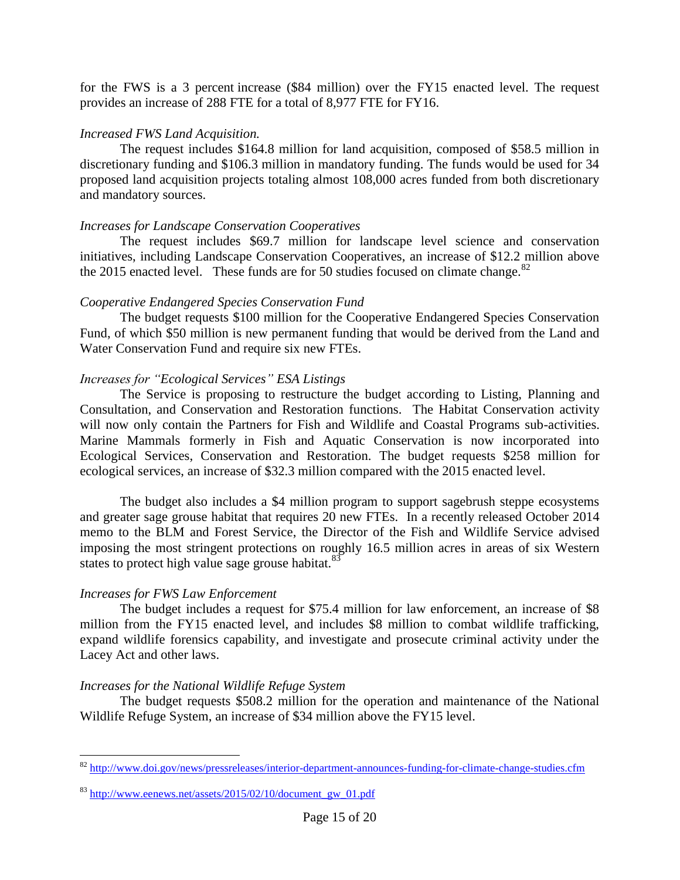for the FWS is a 3 percent increase (\$84 million) over the FY15 enacted level. The request provides an increase of 288 FTE for a total of 8,977 FTE for FY16.

## *Increased FWS Land Acquisition.*

The request includes \$164.8 million for land acquisition, composed of \$58.5 million in discretionary funding and \$106.3 million in mandatory funding. The funds would be used for 34 proposed land acquisition projects totaling almost 108,000 acres funded from both discretionary and mandatory sources.

# *Increases for Landscape Conservation Cooperatives*

The request includes \$69.7 million for landscape level science and conservation initiatives, including Landscape Conservation Cooperatives, an increase of \$12.2 million above the 2015 enacted level. These funds are for 50 studies focused on climate change. $82$ 

# *Cooperative Endangered Species Conservation Fund*

The budget requests \$100 million for the Cooperative Endangered Species Conservation Fund, of which \$50 million is new permanent funding that would be derived from the Land and Water Conservation Fund and require six new FTEs.

# *Increases for "Ecological Services" ESA Listings*

The Service is proposing to restructure the budget according to Listing, Planning and Consultation, and Conservation and Restoration functions. The Habitat Conservation activity will now only contain the Partners for Fish and Wildlife and Coastal Programs sub-activities. Marine Mammals formerly in Fish and Aquatic Conservation is now incorporated into Ecological Services, Conservation and Restoration. The budget requests \$258 million for ecological services, an increase of \$32.3 million compared with the 2015 enacted level.

The budget also includes a \$4 million program to support sagebrush steppe ecosystems and greater sage grouse habitat that requires 20 new FTEs. In a recently released October 2014 memo to the BLM and Forest Service, the Director of the Fish and Wildlife Service advised imposing the most stringent protections on roughly 16.5 million acres in areas of six Western states to protect high value sage grouse habitat. $83$ 

# *Increases for FWS Law Enforcement*

 $\overline{a}$ 

The budget includes a request for \$75.4 million for law enforcement, an increase of \$8 million from the FY15 enacted level, and includes \$8 million to combat wildlife trafficking, expand wildlife forensics capability, and investigate and prosecute criminal activity under the Lacey Act and other laws.

# *Increases for the National Wildlife Refuge System*

The budget requests \$508.2 million for the operation and maintenance of the National Wildlife Refuge System, an increase of \$34 million above the FY15 level.

<sup>&</sup>lt;sup>82</sup> <http://www.doi.gov/news/pressreleases/interior-department-announces-funding-for-climate-change-studies.cfm>

 $83$  [http://www.eenews.net/assets/2015/02/10/document\\_gw\\_01.pdf](http://www.eenews.net/assets/2015/02/10/document_gw_01.pdf)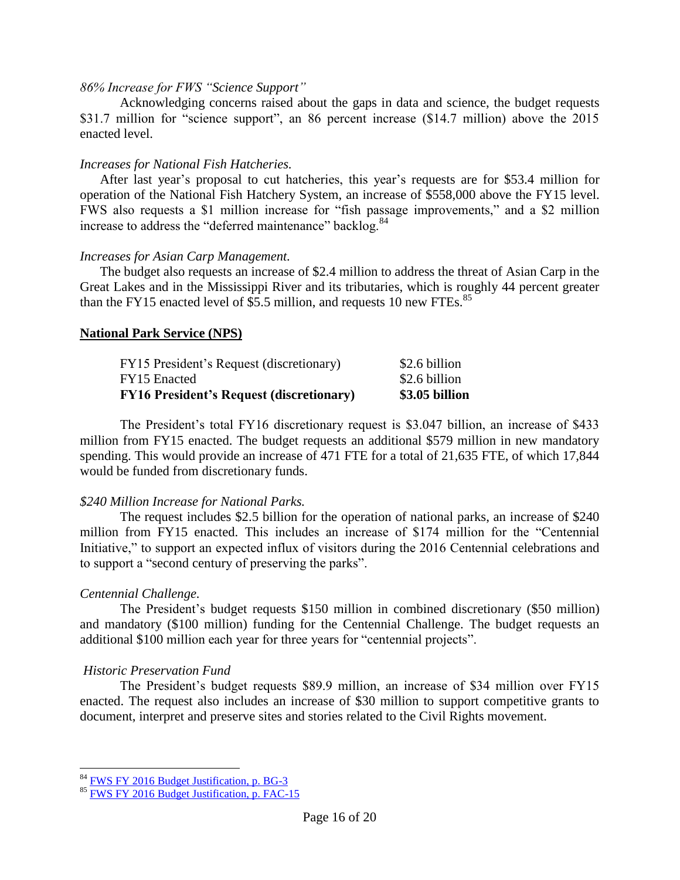#### *86% Increase for FWS "Science Support"*

Acknowledging concerns raised about the gaps in data and science, the budget requests \$31.7 million for "science support", an 86 percent increase (\$14.7 million) above the 2015 enacted level.

#### *Increases for National Fish Hatcheries.*

After last year's proposal to cut hatcheries, this year's requests are for \$53.4 million for operation of the National Fish Hatchery System, an increase of \$558,000 above the FY15 level. FWS also requests a \$1 million increase for "fish passage improvements," and a \$2 million increase to address the "deferred maintenance" backlog.<sup>84</sup>

#### *Increases for Asian Carp Management.*

The budget also requests an increase of \$2.4 million to address the threat of Asian Carp in the Great Lakes and in the Mississippi River and its tributaries, which is roughly 44 percent greater than the FY15 enacted level of \$5.5 million, and requests 10 new FTEs.<sup>85</sup>

## **National Park Service (NPS)**

| <b>FY16 President's Request (discretionary)</b> | \$3.05 billion |
|-------------------------------------------------|----------------|
| FY15 Enacted                                    | \$2.6 billion  |
| FY15 President's Request (discretionary)        | \$2.6 billion  |

The President's total FY16 discretionary request is \$3.047 billion, an increase of \$433 million from FY15 enacted. The budget requests an additional \$579 million in new mandatory spending. This would provide an increase of 471 FTE for a total of 21,635 FTE, of which 17,844 would be funded from discretionary funds.

## *\$240 Million Increase for National Parks.*

The request includes \$2.5 billion for the operation of national parks, an increase of \$240 million from FY15 enacted. This includes an increase of \$174 million for the "Centennial Initiative," to support an expected influx of visitors during the 2016 Centennial celebrations and to support a "second century of preserving the parks".

## *Centennial Challenge.*

 $\overline{a}$ 

The President's budget requests \$150 million in combined discretionary (\$50 million) and mandatory (\$100 million) funding for the Centennial Challenge. The budget requests an additional \$100 million each year for three years for "centennial projects".

## *Historic Preservation Fund*

The President's budget requests \$89.9 million, an increase of \$34 million over FY15 enacted. The request also includes an increase of \$30 million to support competitive grants to document, interpret and preserve sites and stories related to the Civil Rights movement.

<sup>&</sup>lt;sup>84</sup> [FWS FY 2016 Budget Justification, p. BG-3](http://www.doi.gov/budget/appropriations/2016/upload/FY2016_FWS_Greenbook.pdf)

 $85$  [FWS FY 2016 Budget Justification, p. FAC-15](http://www.doi.gov/budget/appropriations/2016/upload/FY2016_FWS_Greenbook.pdf)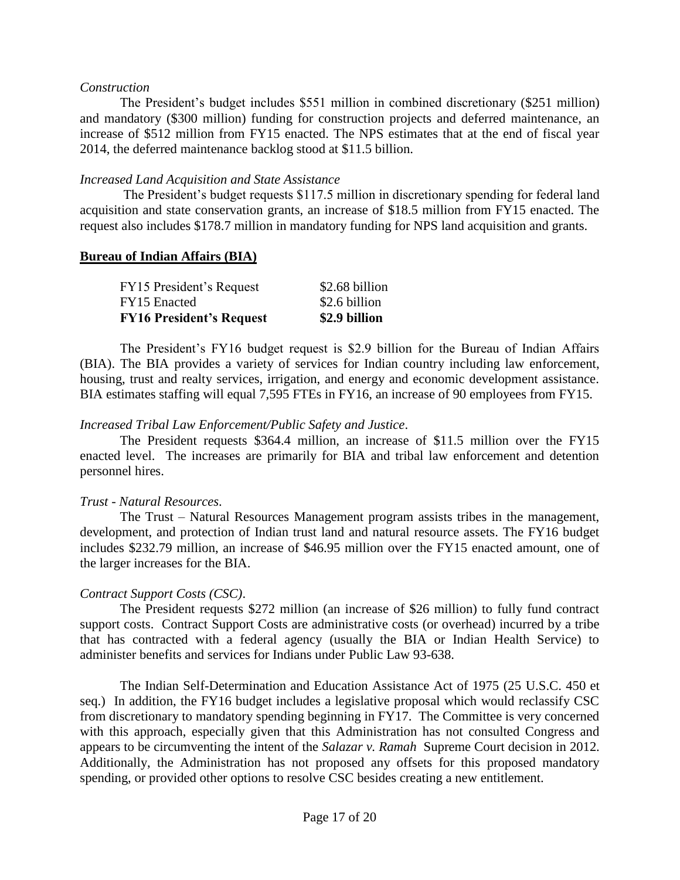#### *Construction*

The President's budget includes \$551 million in combined discretionary (\$251 million) and mandatory (\$300 million) funding for construction projects and deferred maintenance, an increase of \$512 million from FY15 enacted. The NPS estimates that at the end of fiscal year 2014, the deferred maintenance backlog stood at \$11.5 billion.

#### *Increased Land Acquisition and State Assistance*

The President's budget requests \$117.5 million in discretionary spending for federal land acquisition and state conservation grants, an increase of \$18.5 million from FY15 enacted. The request also includes \$178.7 million in mandatory funding for NPS land acquisition and grants.

#### **Bureau of Indian Affairs (BIA)**

| <b>FY16 President's Request</b> | \$2.9 billion  |
|---------------------------------|----------------|
| FY15 Enacted                    | \$2.6 billion  |
| FY15 President's Request        | \$2.68 billion |

The President's FY16 budget request is \$2.9 billion for the Bureau of Indian Affairs (BIA). The BIA provides a variety of services for Indian country including law enforcement, housing, trust and realty services, irrigation, and energy and economic development assistance. BIA estimates staffing will equal 7,595 FTEs in FY16, an increase of 90 employees from FY15.

#### *Increased Tribal Law Enforcement/Public Safety and Justice*.

The President requests \$364.4 million, an increase of \$11.5 million over the FY15 enacted level. The increases are primarily for BIA and tribal law enforcement and detention personnel hires.

#### *Trust - Natural Resources*.

The Trust – Natural Resources Management program assists tribes in the management, development, and protection of Indian trust land and natural resource assets. The FY16 budget includes \$232.79 million, an increase of \$46.95 million over the FY15 enacted amount, one of the larger increases for the BIA.

## *Contract Support Costs (CSC)*.

The President requests \$272 million (an increase of \$26 million) to fully fund contract support costs. Contract Support Costs are administrative costs (or overhead) incurred by a tribe that has contracted with a federal agency (usually the BIA or Indian Health Service) to administer benefits and services for Indians under Public Law 93-638.

The Indian Self-Determination and Education Assistance Act of 1975 (25 U.S.C. 450 et seq.) In addition, the FY16 budget includes a legislative proposal which would reclassify CSC from discretionary to mandatory spending beginning in FY17. The Committee is very concerned with this approach, especially given that this Administration has not consulted Congress and appears to be circumventing the intent of the *Salazar v. Ramah* Supreme Court decision in 2012. Additionally, the Administration has not proposed any offsets for this proposed mandatory spending, or provided other options to resolve CSC besides creating a new entitlement.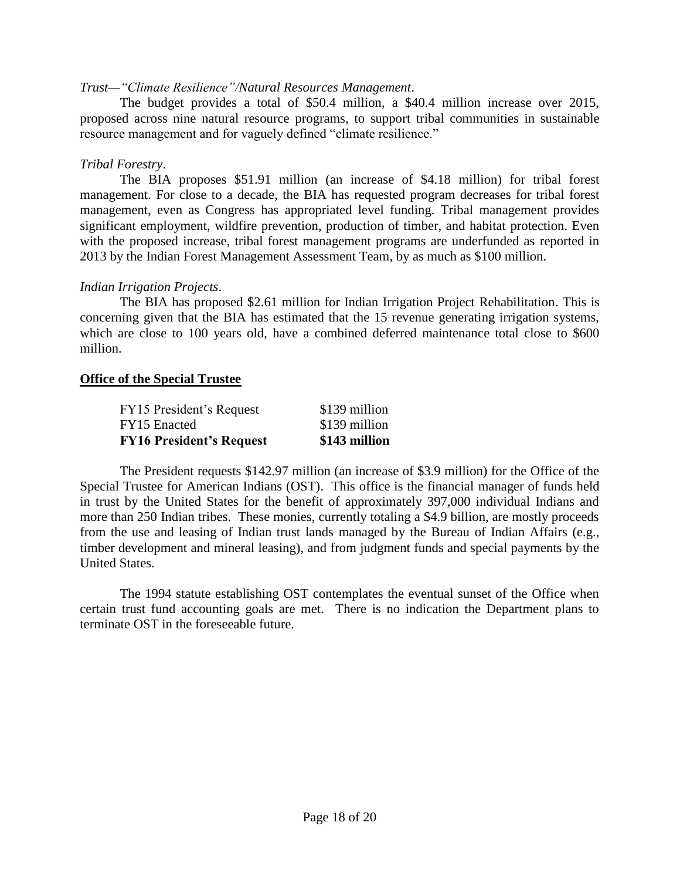## *Trust—"Climate Resilience"/Natural Resources Management*.

The budget provides a total of \$50.4 million, a \$40.4 million increase over 2015, proposed across nine natural resource programs, to support tribal communities in sustainable resource management and for vaguely defined "climate resilience."

## *Tribal Forestry*.

The BIA proposes \$51.91 million (an increase of \$4.18 million) for tribal forest management. For close to a decade, the BIA has requested program decreases for tribal forest management, even as Congress has appropriated level funding. Tribal management provides significant employment, wildfire prevention, production of timber, and habitat protection. Even with the proposed increase, tribal forest management programs are underfunded as reported in 2013 by the Indian Forest Management Assessment Team, by as much as \$100 million.

## *Indian Irrigation Projects*.

The BIA has proposed \$2.61 million for Indian Irrigation Project Rehabilitation. This is concerning given that the BIA has estimated that the 15 revenue generating irrigation systems, which are close to 100 years old, have a combined deferred maintenance total close to \$600 million.

#### **Office of the Special Trustee**

| <b>FY16 President's Request</b> | \$143 million |
|---------------------------------|---------------|
| FY15 Enacted                    | \$139 million |
| FY15 President's Request        | \$139 million |

The President requests \$142.97 million (an increase of \$3.9 million) for the Office of the Special Trustee for American Indians (OST). This office is the financial manager of funds held in trust by the United States for the benefit of approximately 397,000 individual Indians and more than 250 Indian tribes. These monies, currently totaling a \$4.9 billion, are mostly proceeds from the use and leasing of Indian trust lands managed by the Bureau of Indian Affairs (e.g., timber development and mineral leasing), and from judgment funds and special payments by the United States.

The 1994 statute establishing OST contemplates the eventual sunset of the Office when certain trust fund accounting goals are met. There is no indication the Department plans to terminate OST in the foreseeable future.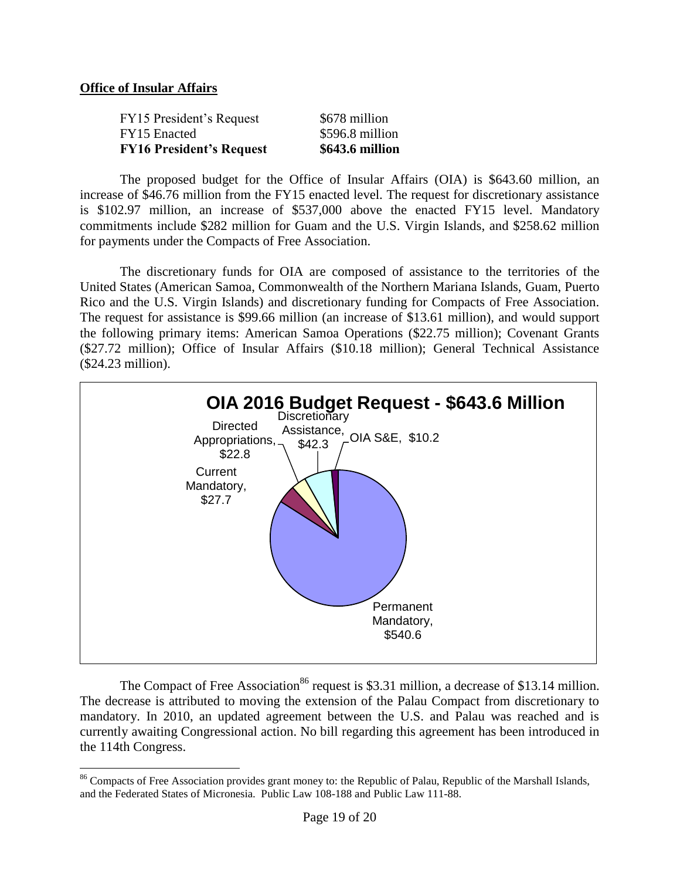## **Office of Insular Affairs**

 $\overline{a}$ 

| <b>FY16 President's Request</b> | \$643.6 million |
|---------------------------------|-----------------|
| FY15 Enacted                    | \$596.8 million |
| FY15 President's Request        | \$678 million   |

The proposed budget for the Office of Insular Affairs (OIA) is \$643.60 million, an increase of \$46.76 million from the FY15 enacted level. The request for discretionary assistance is \$102.97 million, an increase of \$537,000 above the enacted FY15 level. Mandatory commitments include \$282 million for Guam and the U.S. Virgin Islands, and \$258.62 million for payments under the Compacts of Free Association.

The discretionary funds for OIA are composed of assistance to the territories of the United States (American Samoa, Commonwealth of the Northern Mariana Islands, Guam, Puerto Rico and the U.S. Virgin Islands) and discretionary funding for Compacts of Free Association. The request for assistance is \$99.66 million (an increase of \$13.61 million), and would support the following primary items: American Samoa Operations (\$22.75 million); Covenant Grants (\$27.72 million); Office of Insular Affairs (\$10.18 million); General Technical Assistance (\$24.23 million).



The Compact of Free Association<sup>86</sup> request is \$3.31 million, a decrease of \$13.14 million. The decrease is attributed to moving the extension of the Palau Compact from discretionary to mandatory. In 2010, an updated agreement between the U.S. and Palau was reached and is currently awaiting Congressional action. No bill regarding this agreement has been introduced in the 114th Congress.

<sup>&</sup>lt;sup>86</sup> Compacts of Free Association provides grant money to: the Republic of Palau, Republic of the Marshall Islands, and the Federated States of Micronesia. Public Law 108-188 and Public Law 111-88.